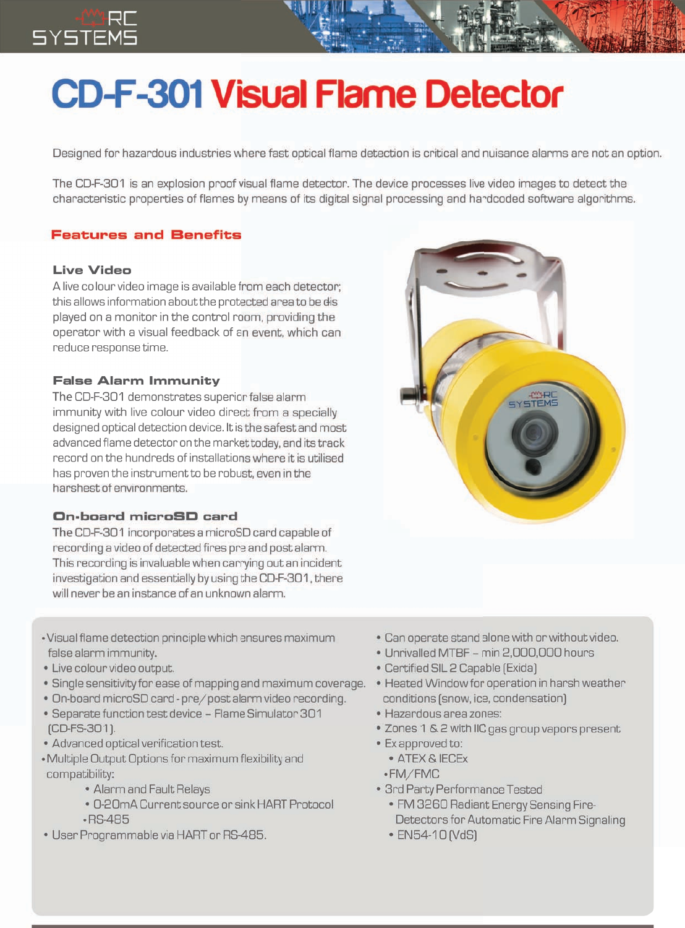# **CD-F-301 Visual Flame Detector**

Designed for hazardous industries where fast optical flame detection is critical and nuisance alarms are not an option.

The CD-F-301 is an explosion proof visual flame detector. The device processes live video images to detect the characteristic properties of flames by means of its digital signal processing and hardcoded software algorithms.

### **Features and Benefits**

#### **Live Video**

A live colour video image is available from each detector; this allows information about the protected area to be dis played on a monitor in the control room, providing the operator with a visual feedback of an event, which can reduce response time.

#### **False Alarm Immunity**

The CD-F-301 demonstrates superior false alarm immunity with live colour video direct from a specially designed optical detection device. It is the safest and most advanced flame detector on the market today, and its track record on the hundreds of installations where it is utilised has proven the instrument to be robust, even in the harshest of environments.

#### On-board microSD card

The CD-F-301 incorporates a microSD card capable of recording a video of detected fires pre and post alarm. This recording is invaluable when carrying out an incident investigation and essentially by using the CD-F-301, there will never be an instance of an unknown alarm.

- Visual flame detection principle which ensures maximum false alarm immunity.
- · Live colour video output.
- . Single sensitivity for ease of mapping and maximum coverage.
- . On-board microSD card pre/post alarm video recording.
- Separate function test device Flame Simulator 301 (CD-FS-301).
- Advanced optical verification test.
- Multiple Output Options for maximum flexibility and compatibility:
	- Alarm and Fault Relays
	- 0-20mA Current source or sink HART Protocol  $-RS-485$
- · User Programmable via HART or RS-485.



- Unrivalled MTBF min 2,000,000 hours
- Certified SIL 2 Capable (Exida)
- · Heated Window for operation in harsh weather conditions (snow, ice, condensation)
- · Hazardous area zones:
- . Zones 1 & 2 with IIC gas group vapors present
- · Ex approved to:
	- · ATEX & IECEX
	- ·FM/FMC
- · 3rd Party Performance Tested
	- FM 3260 Radiant Energy Sensing Fire-Detectors for Automatic Fire Alarm Signaling
	- EN54-10 (VdS)